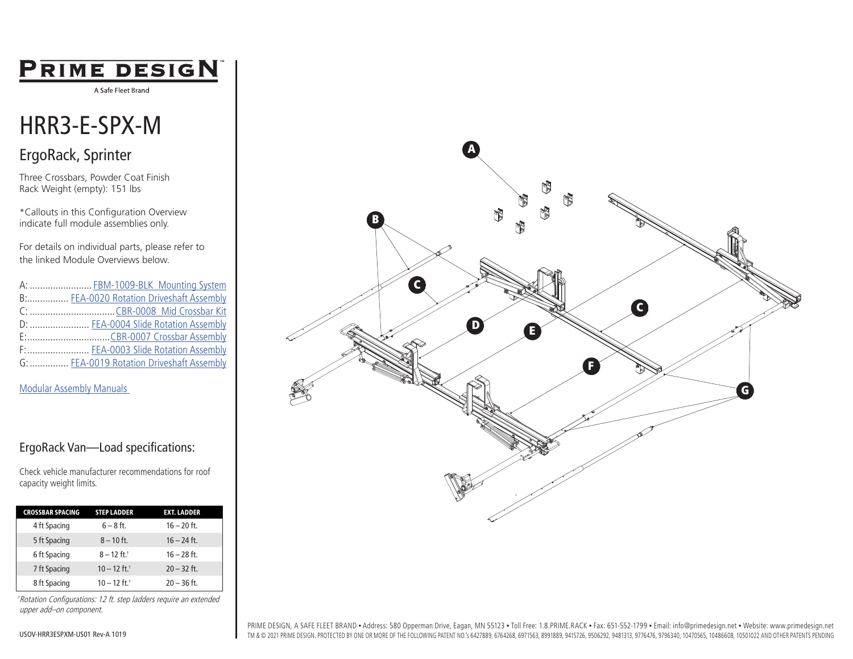# PRIME DESIGN

A Safe Fleet Brand

# HRR3-E-SPX-M

### ErgoRack, Sprinter

Three Crossbars, Powder Coat Finish Rack Weight (empty): 151 lbs

\*Callouts in this Configuration Overview indicate full module assemblies only.

For details on individual parts, please refer to the linked Module Overviews below.

| A:  FBM-1009-BLK Mounting System          |
|-------------------------------------------|
| B: FEA-0020 Rotation Driveshaft Assembly  |
|                                           |
| D:  FEA-0004 Slide Rotation Assembly      |
|                                           |
| F:  FEA-0003 Slide Rotation Assembly      |
| G:  FEA-0019 Rotation Driveshaft Assembly |

#### [Modular Assembly Manuals](https://www.primedesign.net/document-library/#modular-assembly-manuals-tab)

#### ErgoRack Van—Load specifications:

Check vehicle manufacturer recommendations for roof capacity weight limits.

| <b>CROSSBAR SPACING</b> | <b>STEP LADDER</b>         | <b>EXT. LADDER</b> |  |
|-------------------------|----------------------------|--------------------|--|
| 4 ft Spacing            | $6 - 8$ ft.                | $16 - 20$ ft.      |  |
| 5 ft Spacing            | $8 - 10$ ft.               | $16 - 24$ ft.      |  |
| 6 ft Spacing            | $8 - 12$ ft. <sup>+</sup>  | $16 - 28$ ft.      |  |
| 7 ft Spacing            | $10 - 12$ ft. <sup>+</sup> | $20 - 32$ ft.      |  |
| 8 ft Spacing            | $10 - 12$ ft. <sup>+</sup> | $20 - 36$ ft.      |  |

†Rotation Configurations: 12 ft. step ladders require an extended upper add–on component.